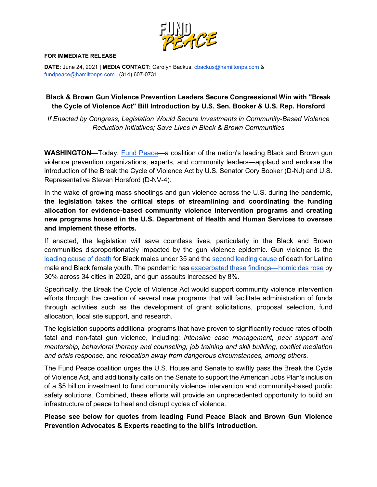

## **FOR IMMEDIATE RELEASE**

**DATE:** June 24, 2021 **| MEDIA CONTACT:** Carolyn Backus[, cbackus@hamiltonps.com](mailto:cbackus@hamiltonps.com) & [fundpeace@hamiltonps.com](mailto:fundpeace@hamiltonps.com) | (314) 607-0731

## **Black & Brown Gun Violence Prevention Leaders Secure Congressional Win with "Break the Cycle of Violence Act" Bill Introduction by U.S. Sen. Booker & U.S. Rep. Horsford**

*If Enacted by Congress, Legislation Would Secure Investments in Community-Based Violence Reduction Initiatives; Save Lives in Black & Brown Communities*

**WASHINGTON**—Today, [Fund Peace—](http://fundpeacenow.com/)a coalition of the nation's leading Black and Brown gun violence prevention organizations, experts, and community leaders—applaud and endorse the introduction of the Break the Cycle of Violence Act by U.S. Senator Cory Booker (D-NJ) and U.S. Representative Steven Horsford (D-NV-4).

In the wake of growing mass shootings and gun violence across the U.S. during the pandemic, **the legislation takes the critical steps of streamlining and coordinating the funding allocation for evidence-based community violence intervention programs and creating new programs housed in the U.S. Department of Health and Human Services to oversee and implement these efforts.**

If enacted, the legislation will save countless lives, particularly in the Black and Brown communities disproportionately impacted by the gun violence epidemic. Gun violence is the [leading cause of death](https://www.cdc.gov/healthequity/lcod/men/2016/nonhispanic-black/index.htm) for Black males under 35 and the [second leading cause](https://www.cdc.gov/healthequity/lcod/men/2016/hispanic/index.htm) of death for Latino male and Black female youth. The pandemic has [exacerbated these findings—homicides rose](https://cdn.ymaws.com/counciloncj.org/resource/resmgr/covid_commission/Year_End_Crime_Update_Design.pdf) by 30% across 34 cities in 2020, and gun assaults increased by 8%.

Specifically, the Break the Cycle of Violence Act would support community violence intervention efforts through the creation of several new programs that will facilitate administration of funds through activities such as the development of grant solicitations, proposal selection, fund allocation, local site support, and research.

The legislation supports additional programs that have proven to significantly reduce rates of both fatal and non-fatal gun violence, including: *intensive case management, peer support and mentorship, behavioral therapy and counseling, job training and skill building, conflict mediation and crisis response,* and *relocation away from dangerous circumstances, among others*.

The Fund Peace coalition urges the U.S. House and Senate to swiftly pass the Break the Cycle of Violence Act, and additionally calls on the Senate to support the American Jobs Plan's inclusion of a \$5 billion investment to fund community violence intervention and community-based public safety solutions. Combined, these efforts will provide an unprecedented opportunity to build an infrastructure of peace to heal and disrupt cycles of violence.

**Please see below for quotes from leading Fund Peace Black and Brown Gun Violence Prevention Advocates & Experts reacting to the bill's introduction.**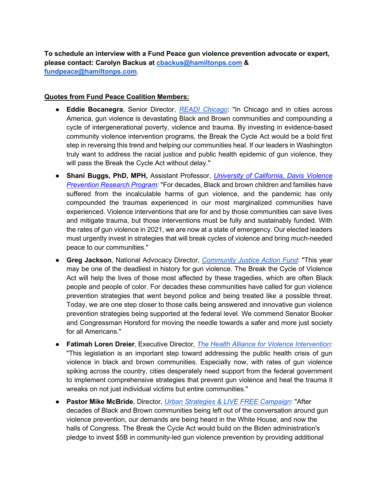**To schedule an interview with a Fund Peace gun violence prevention advocate or expert, please contact: Carolyn Backus at [cbackus@hamiltonps.com](mailto:cbackus@hamiltonps.com) & [fundpeace@hamiltonps.com](mailto:fundpeace@hamiltonps.com)**.

## **Quotes from Fund Peace Coalition Members:**

- **Eddie Bocanegra**, Senior Director, *[READI Chicago](https://www.heartlandalliance.org/readi/)*: "In Chicago and in cities across America, gun violence is devastating Black and Brown communities and compounding a cycle of intergenerational poverty, violence and trauma. By investing in evidence-based community violence intervention programs, the Break the Cycle Act would be a bold first step in reversing this trend and helping our communities heal. If our leaders in Washington truly want to address the racial justice and public health epidemic of gun violence, they will pass the Break the Cycle Act without delay."
- **Shani Buggs, PhD, MPH,** Assistant Professor, *[University of California, Davis Violence](http://health.ucdavis.edu/vprp)  [Prevention Research Program:](http://health.ucdavis.edu/vprp)* "For decades, Black and brown children and families have suffered from the incalculable harms of gun violence, and the pandemic has only compounded the traumas experienced in our most marginalized communities have experienced. Violence interventions that are for and by those communities can save lives and mitigate trauma, but those interventions must be fully and sustainably funded. With the rates of gun violence in 2021, we are now at a state of emergency. Our elected leaders must urgently invest in strategies that will break cycles of violence and bring much-needed peace to our communities."
- **Greg Jackson**, National Advocacy Director, *[Community Justice Action Fund](https://www.cjactionfund.org/)*: "This year may be one of the deadliest in history for gun violence. The Break the Cycle of Violence Act will help the lives of those most affected by these tragedies, which are often Black people and people of color. For decades these communities have called for gun violence prevention strategies that went beyond police and being treated like a possible threat. Today, we are one step closer to those calls being answered and innovative gun violence prevention strategies being supported at the federal level. We commend Senator Booker and Congressman Horsford for moving the needle towards a safer and more just society for all Americans."
- **Fatimah Loren Dreier**, Executive Director, *[The Health Alliance for Violence Intervention](https://www.thehavi.org/)*: "This legislation is an important step toward addressing the public health crisis of gun violence in black and brown communities. Especially now, with rates of gun violence spiking across the country, cities desperately need support from the federal government to implement comprehensive strategies that prevent gun violence and heal the trauma it wreaks on not just individual victims but entire communities."
- **Pastor Mike McBride**, Director, *[Urban Strategies & LIVE FREE Campaign](http://www.livefreeusa.org/ourstaff)*: "After decades of Black and Brown communities being left out of the conversation around gun violence prevention, our demands are being heard in the White House, and now the halls of Congress. The Break the Cycle Act would build on the Biden administration's pledge to invest \$5B in community-led gun violence prevention by providing additional